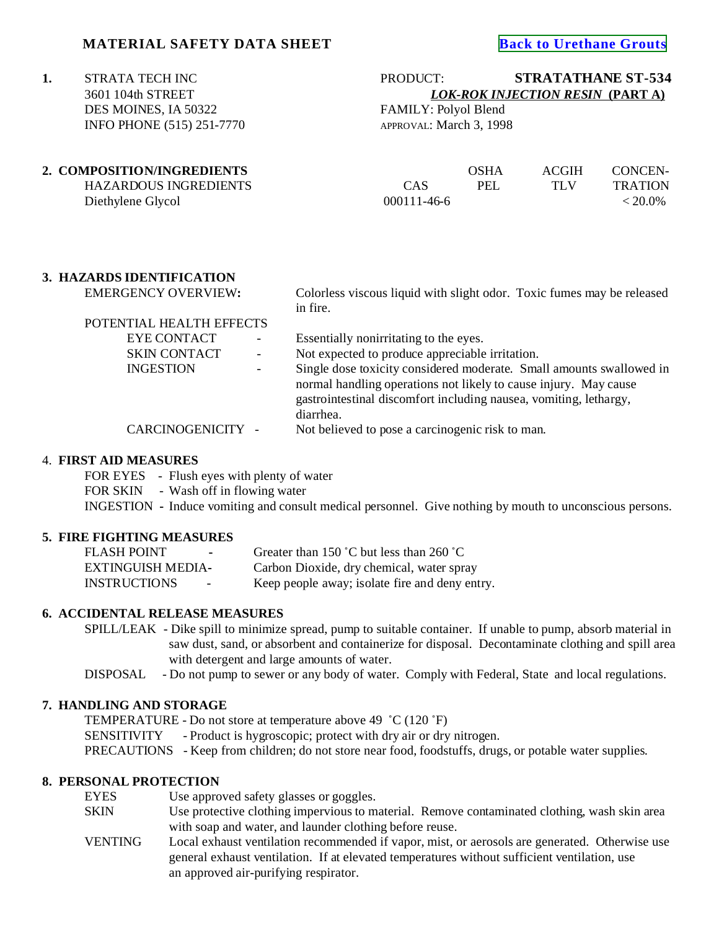# **MATERIAL SAFETY DATA SHEET [Back to Urethane Grouts](http://www.strata-tech.com/urethane.html#534)**

 DES MOINES, IA 50322 FAMILY: Polyol Blend INFO PHONE (515) 251-7770 APPROVAL: March 3, 1998

# **1.** STRATA TECH INC<br>
3601 104th STREET<br>
3601 104th STREET<br> **1.** STRATATHANE ST-534<br> **1.** DOK-ROK INJECTION RESIN (PART A) 3601 104th STREET *LOK-ROK INJECTION RESIN* **(PART A)**

| 2. COMPOSITION/INGREDIENTS |                   | OSHA | <b>ACGIH</b> | CONCEN-        |
|----------------------------|-------------------|------|--------------|----------------|
| HAZARDOUS INGREDIENTS      | CAS               | PEL  | TI V         | <b>TRATION</b> |
| Diethylene Glycol          | $000111 - 46 - 6$ |      |              | $< 20.0\%$     |

# **3. HAZARDS IDENTIFICATION**

EMERGENCY OVERVIEW**:** Colorless viscous liquid with slight odor. Toxic fumes may be released in fire.

| POTENTIAL HEALTH EFFECTS |                          |                                                                      |
|--------------------------|--------------------------|----------------------------------------------------------------------|
| <b>EYE CONTACT</b>       | $\overline{\phantom{a}}$ | Essentially nonirritating to the eyes.                               |
| <b>SKIN CONTACT</b>      |                          | Not expected to produce appreciable irritation.                      |
| <b>INGESTION</b>         |                          | Single dose toxicity considered moderate. Small amounts swallowed in |
|                          |                          | normal handling operations not likely to cause injury. May cause     |
|                          |                          | gastrointestinal discomfort including nausea, vomiting, lethargy,    |
|                          |                          | diarrhea.                                                            |
| CARCINOGENICITY -        |                          | Not believed to pose a carcinogenic risk to man.                     |

#### 4. **FIRST AID MEASURES**

FOR EYES - Flush eyes with plenty of water

FOR SKIN - Wash off in flowing water

INGESTION **-** Induce vomiting and consult medical personnel. Give nothing by mouth to unconscious persons.

#### **5. FIRE FIGHTING MEASURES**

FLASH POINT - Greater than 150 °C but less than 260 °C EXTINGUISH MEDIA**-** Carbon Dioxide, dry chemical, water spray INSTRUCTIONS - Keep people away; isolate fire and deny entry.

# **6. ACCIDENTAL RELEASE MEASURES**

SPILL/LEAK - Dike spill to minimize spread, pump to suitable container. If unable to pump, absorb material in saw dust, sand, or absorbent and containerize for disposal. Decontaminate clothing and spill area with detergent and large amounts of water.

DISPOSAL - Do not pump to sewer or any body of water. Comply with Federal, State and local regulations.

# **7. HANDLING AND STORAGE**

TEMPERATURE - Do not store at temperature above 49  $^{\circ}$ C (120  $^{\circ}$ F) SENSITIVITY - Product is hygroscopic; protect with dry air or dry nitrogen. PRECAUTIONS - Keep from children; do not store near food, foodstuffs, drugs, or potable water supplies.

# **8. PERSONAL PROTECTION**

| EYES    | Use approved safety glasses or goggles.                                                                                                                                                        |
|---------|------------------------------------------------------------------------------------------------------------------------------------------------------------------------------------------------|
| SKIN    | Use protective clothing impervious to material. Remove contaminated clothing, wash skin area                                                                                                   |
|         | with soap and water, and launder clothing before reuse.                                                                                                                                        |
| VENTING | Local exhaust ventilation recommended if vapor, mist, or aerosols are generated. Otherwise use<br>general exhaust ventilation. If at elevated temperatures without sufficient ventilation, use |
|         | an approved air-purifying respirator.                                                                                                                                                          |